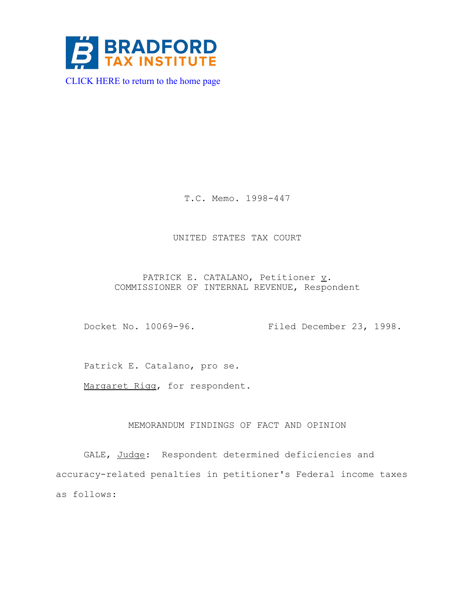

T.C. Memo. 1998-447

## UNITED STATES TAX COURT

PATRICK E. CATALANO, Petitioner  $\underline{v}$ . COMMISSIONER OF INTERNAL REVENUE, Respondent

Docket No. 10069-96. Filed December 23, 1998.

Patrick E. Catalano, pro se.

Margaret Rigg, for respondent.

## MEMORANDUM FINDINGS OF FACT AND OPINION

GALE, Judge: Respondent determined deficiencies and accuracy-related penalties in petitioner's Federal income taxes as follows: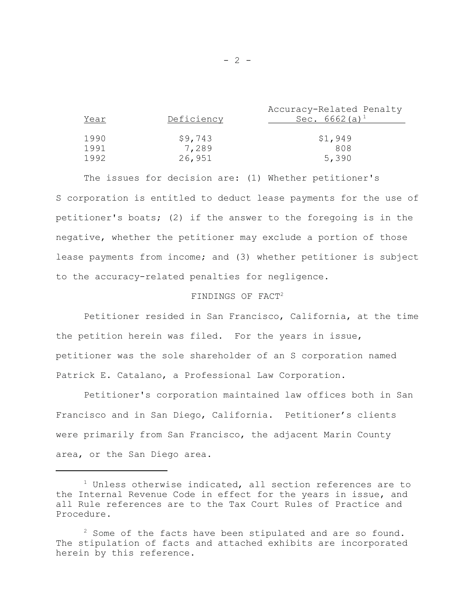| Year | Deficiency | Accuracy-Related Penalty<br>Sec. $6662 (a)^1$ |
|------|------------|-----------------------------------------------|
| 1990 | \$9,743    | \$1,949                                       |
| 1991 | 7,289      | 808                                           |
| 1992 | 26,951     | 5,390                                         |

The issues for decision are: (1) Whether petitioner's S corporation is entitled to deduct lease payments for the use of petitioner's boats; (2) if the answer to the foregoing is in the negative, whether the petitioner may exclude a portion of those lease payments from income; and (3) whether petitioner is subject to the accuracy-related penalties for negligence.

# FINDINGS OF FACT2

Petitioner resided in San Francisco, California, at the time the petition herein was filed. For the years in issue, petitioner was the sole shareholder of an S corporation named Patrick E. Catalano, a Professional Law Corporation.

Petitioner's corporation maintained law offices both in San Francisco and in San Diego, California. Petitioner's clients were primarily from San Francisco, the adjacent Marin County area, or the San Diego area.

 $1$  Unless otherwise indicated, all section references are to the Internal Revenue Code in effect for the years in issue, and all Rule references are to the Tax Court Rules of Practice and Procedure.

 $2^2$  Some of the facts have been stipulated and are so found. The stipulation of facts and attached exhibits are incorporated herein by this reference.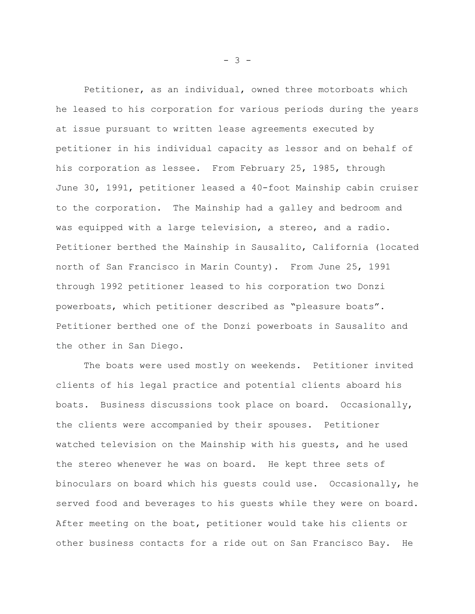Petitioner, as an individual, owned three motorboats which he leased to his corporation for various periods during the years at issue pursuant to written lease agreements executed by petitioner in his individual capacity as lessor and on behalf of his corporation as lessee. From February 25, 1985, through June 30, 1991, petitioner leased a 40-foot Mainship cabin cruiser to the corporation. The Mainship had a galley and bedroom and was equipped with a large television, a stereo, and a radio. Petitioner berthed the Mainship in Sausalito, California (located north of San Francisco in Marin County). From June 25, 1991 through 1992 petitioner leased to his corporation two Donzi powerboats, which petitioner described as "pleasure boats". Petitioner berthed one of the Donzi powerboats in Sausalito and the other in San Diego.

The boats were used mostly on weekends. Petitioner invited clients of his legal practice and potential clients aboard his boats. Business discussions took place on board. Occasionally, the clients were accompanied by their spouses. Petitioner watched television on the Mainship with his guests, and he used the stereo whenever he was on board. He kept three sets of binoculars on board which his guests could use. Occasionally, he served food and beverages to his guests while they were on board. After meeting on the boat, petitioner would take his clients or other business contacts for a ride out on San Francisco Bay. He

- 3 -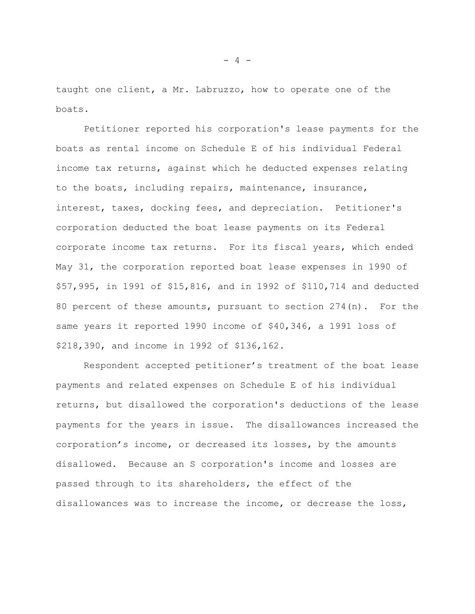taught one client, a Mr. Labruzzo, how to operate one of the boats.

Petitioner reported his corporation's lease payments for the boats as rental income on Schedule E of his individual Federal income tax returns, against which he deducted expenses relating to the boats, including repairs, maintenance, insurance, interest, taxes, docking fees, and depreciation. Petitioner's corporation deducted the boat lease payments on its Federal corporate income tax returns. For its fiscal years, which ended May 31, the corporation reported boat lease expenses in 1990 of \$57,995, in 1991 of \$15,816, and in 1992 of \$110,714 and deducted 80 percent of these amounts, pursuant to section  $274(n)$ . For the same years it reported 1990 income of \$40,346, a 1991 loss of \$218,390, and income in 1992 of \$136,162.

Respondent accepted petitioner's treatment of the boat lease payments and related expenses on Schedule E of his individual returns, but disallowed the corporation's deductions of the lease payments for the years in issue. The disallowances increased the corporation's income, or decreased its losses, by the amounts disallowed. Because an S corporation's income and losses are passed through to its shareholders, the effect of the disallowances was to increase the income, or decrease the loss,

 $- 4 -$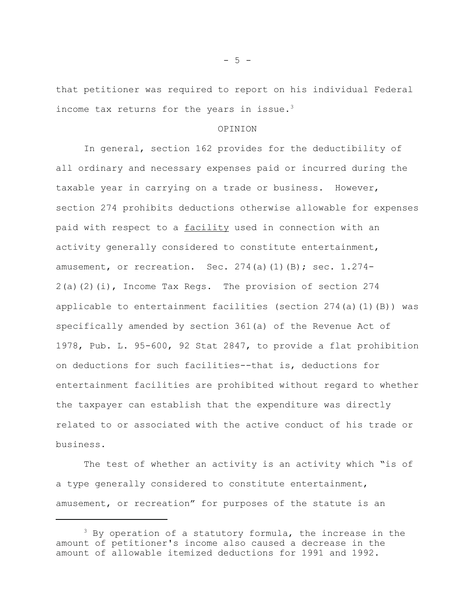that petitioner was required to report on his individual Federal income tax returns for the years in issue.<sup>3</sup>

#### OPINION

In general, section 162 provides for the deductibility of all ordinary and necessary expenses paid or incurred during the taxable year in carrying on a trade or business. However, section 274 prohibits deductions otherwise allowable for expenses paid with respect to a facility used in connection with an activity generally considered to constitute entertainment, amusement, or recreation. Sec.  $274(a)(1)(B)$ ; sec.  $1.274-$ 2(a)(2)(i), Income Tax Regs. The provision of section 274 applicable to entertainment facilities (section  $274(a)(1)(B)$ ) was specifically amended by section 361(a) of the Revenue Act of 1978, Pub. L. 95-600, 92 Stat 2847, to provide a flat prohibition on deductions for such facilities--that is, deductions for entertainment facilities are prohibited without regard to whether the taxpayer can establish that the expenditure was directly related to or associated with the active conduct of his trade or business.

The test of whether an activity is an activity which "is of a type generally considered to constitute entertainment, amusement, or recreation" for purposes of the statute is an

 $- 5 -$ 

 $3$  By operation of a statutory formula, the increase in the amount of petitioner's income also caused a decrease in the amount of allowable itemized deductions for 1991 and 1992.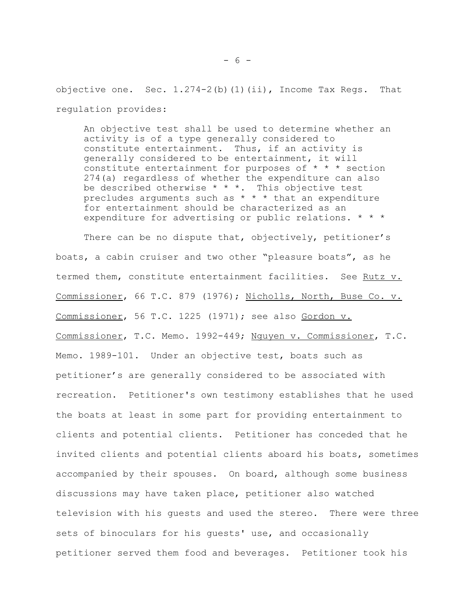objective one. Sec. 1.274-2(b)(1)(ii), Income Tax Regs. That regulation provides:

An objective test shall be used to determine whether an activity is of a type generally considered to constitute entertainment. Thus, if an activity is generally considered to be entertainment, it will constitute entertainment for purposes of  $* * *$  section 274(a) regardless of whether the expenditure can also be described otherwise  $* * *$ . This objective test precludes arguments such as  $* * *$  that an expenditure for entertainment should be characterized as an expenditure for advertising or public relations. \* \* \*

There can be no dispute that, objectively, petitioner's boats, a cabin cruiser and two other "pleasure boats", as he termed them, constitute entertainment facilities. See Rutz v. Commissioner, 66 T.C. 879 (1976); Nicholls, North, Buse Co. v. Commissioner, 56 T.C. 1225 (1971); see also Gordon v. Commissioner, T.C. Memo. 1992-449; Nguyen v. Commissioner, T.C. Memo. 1989-101. Under an objective test, boats such as petitioner's are generally considered to be associated with recreation. Petitioner's own testimony establishes that he used the boats at least in some part for providing entertainment to clients and potential clients. Petitioner has conceded that he invited clients and potential clients aboard his boats, sometimes accompanied by their spouses. On board, although some business discussions may have taken place, petitioner also watched television with his guests and used the stereo. There were three sets of binoculars for his guests' use, and occasionally petitioner served them food and beverages. Petitioner took his

- 6 -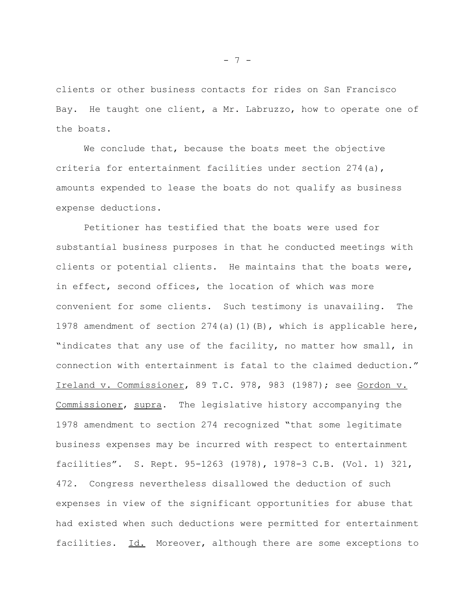clients or other business contacts for rides on San Francisco Bay. He taught one client, a Mr. Labruzzo, how to operate one of the boats.

We conclude that, because the boats meet the objective criteria for entertainment facilities under section 274(a), amounts expended to lease the boats do not qualify as business expense deductions.

Petitioner has testified that the boats were used for substantial business purposes in that he conducted meetings with clients or potential clients. He maintains that the boats were, in effect, second offices, the location of which was more convenient for some clients. Such testimony is unavailing. The 1978 amendment of section  $274(a)(1)(B)$ , which is applicable here, "indicates that any use of the facility, no matter how small, in connection with entertainment is fatal to the claimed deduction." Ireland v. Commissioner, 89 T.C. 978, 983 (1987); see Gordon v. Commissioner, supra. The legislative history accompanying the 1978 amendment to section 274 recognized "that some legitimate business expenses may be incurred with respect to entertainment facilities". S. Rept. 95-1263 (1978), 1978-3 C.B. (Vol. 1) 321, 472. Congress nevertheless disallowed the deduction of such expenses in view of the significant opportunities for abuse that had existed when such deductions were permitted for entertainment facilities. Id. Moreover, although there are some exceptions to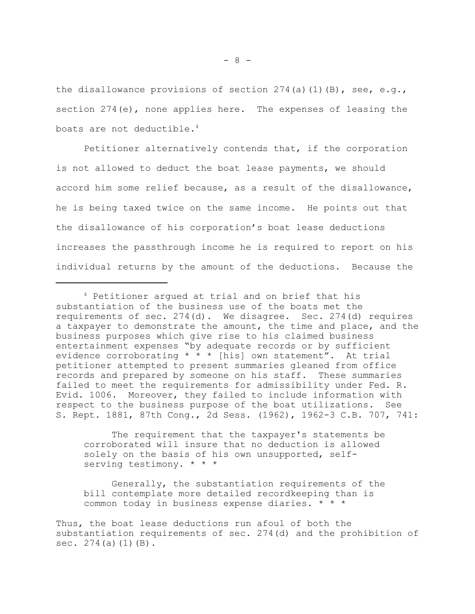the disallowance provisions of section  $274(a)(1)(B)$ , see, e.g., section  $274(e)$ , none applies here. The expenses of leasing the boats are not deductible.<sup>4</sup>

Petitioner alternatively contends that, if the corporation is not allowed to deduct the boat lease payments, we should accord him some relief because, as a result of the disallowance, he is being taxed twice on the same income. He points out that the disallowance of his corporation's boat lease deductions increases the passthrough income he is required to report on his individual returns by the amount of the deductions. Because the

The requirement that the taxpayer's statements be corroborated will insure that no deduction is allowed solely on the basis of his own unsupported, selfserving testimony. \* \* \*

Generally, the substantiation requirements of the bill contemplate more detailed recordkeeping than is common today in business expense diaries. \* \* \*

<sup>4</sup> Petitioner argued at trial and on brief that his substantiation of the business use of the boats met the requirements of sec. 274(d). We disagree. Sec. 274(d) requires a taxpayer to demonstrate the amount, the time and place, and the business purposes which give rise to his claimed business entertainment expenses "by adequate records or by sufficient evidence corroborating  $* * *$  [his] own statement". At trial petitioner attempted to present summaries gleaned from office records and prepared by someone on his staff. These summaries failed to meet the requirements for admissibility under Fed. R. Evid. 1006. Moreover, they failed to include information with respect to the business purpose of the boat utilizations. See S. Rept. 1881, 87th Cong., 2d Sess. (1962), 1962-3 C.B. 707, 741:

Thus, the boat lease deductions run afoul of both the substantiation requirements of sec. 274(d) and the prohibition of sec.  $274(a)(1)(B)$ .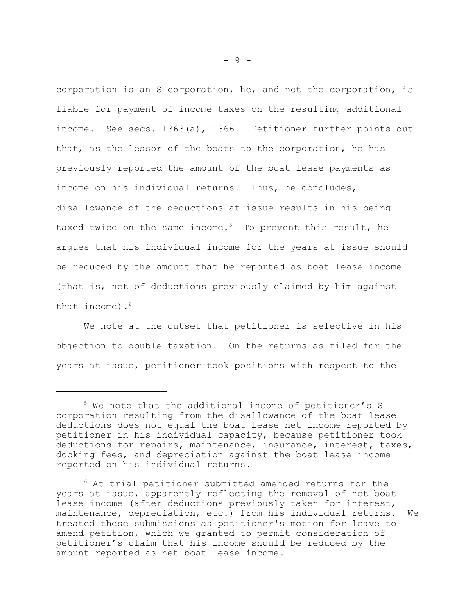corporation is an S corporation, he, and not the corporation, is liable for payment of income taxes on the resulting additional income. See secs. 1363(a), 1366. Petitioner further points out that, as the lessor of the boats to the corporation, he has previously reported the amount of the boat lease payments as income on his individual returns. Thus, he concludes, disallowance of the deductions at issue results in his being taxed twice on the same income.<sup>5</sup> To prevent this result, he argues that his individual income for the years at issue should be reduced by the amount that he reported as boat lease income (that is, net of deductions previously claimed by him against that income). $6$ 

We note at the outset that petitioner is selective in his objection to double taxation. On the returns as filed for the years at issue, petitioner took positions with respect to the

<sup>5</sup> We note that the additional income of petitioner's S corporation resulting from the disallowance of the boat lease deductions does not equal the boat lease net income reported by petitioner in his individual capacity, because petitioner took deductions for repairs, maintenance, insurance, interest, taxes, docking fees, and depreciation against the boat lease income reported on his individual returns.

 $6$  At trial petitioner submitted amended returns for the years at issue, apparently reflecting the removal of net boat lease income (after deductions previously taken for interest, maintenance, depreciation, etc.) from his individual returns. We treated these submissions as petitioner's motion for leave to amend petition, which we granted to permit consideration of petitioner's claim that his income should be reduced by the amount reported as net boat lease income.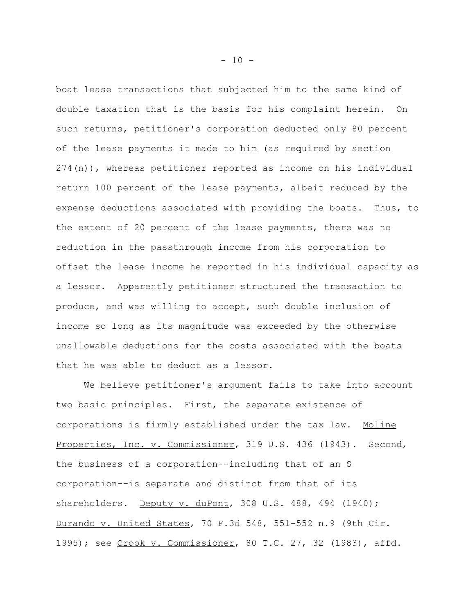boat lease transactions that subjected him to the same kind of double taxation that is the basis for his complaint herein. On such returns, petitioner's corporation deducted only 80 percent of the lease payments it made to him (as required by section 274(n)), whereas petitioner reported as income on his individual return 100 percent of the lease payments, albeit reduced by the expense deductions associated with providing the boats. Thus, to the extent of 20 percent of the lease payments, there was no reduction in the passthrough income from his corporation to offset the lease income he reported in his individual capacity as a lessor. Apparently petitioner structured the transaction to produce, and was willing to accept, such double inclusion of income so long as its magnitude was exceeded by the otherwise unallowable deductions for the costs associated with the boats that he was able to deduct as a lessor.

We believe petitioner's argument fails to take into account two basic principles. First, the separate existence of corporations is firmly established under the tax law. Moline Properties, Inc. v. Commissioner, 319 U.S. 436 (1943). Second, the business of a corporation--including that of an S corporation--is separate and distinct from that of its shareholders. Deputy v. duPont, 308 U.S. 488, 494 (1940); Durando v. United States, 70 F.3d 548, 551-552 n.9 (9th Cir. 1995); see Crook v. Commissioner, 80 T.C. 27, 32 (1983), affd.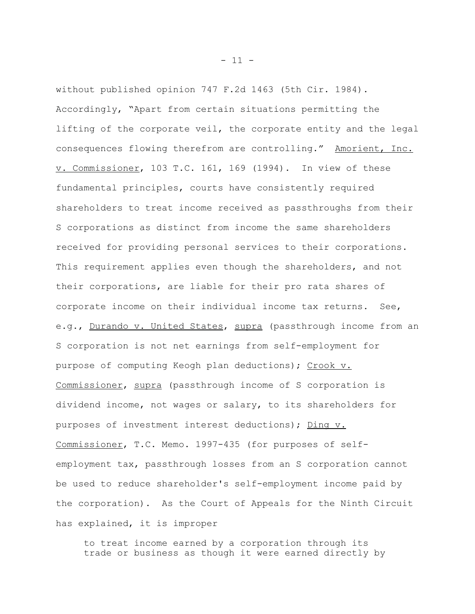without published opinion 747 F.2d 1463 (5th Cir. 1984). Accordingly, "Apart from certain situations permitting the lifting of the corporate veil, the corporate entity and the legal consequences flowing therefrom are controlling." Amorient, Inc. v. Commissioner, 103 T.C. 161, 169 (1994). In view of these fundamental principles, courts have consistently required shareholders to treat income received as passthroughs from their S corporations as distinct from income the same shareholders received for providing personal services to their corporations. This requirement applies even though the shareholders, and not their corporations, are liable for their pro rata shares of corporate income on their individual income tax returns. See, e.g., Durando v. United States, supra (passthrough income from an S corporation is not net earnings from self-employment for purpose of computing Keogh plan deductions); Crook v. Commissioner, supra (passthrough income of S corporation is dividend income, not wages or salary, to its shareholders for purposes of investment interest deductions); Ding v. Commissioner, T.C. Memo. 1997-435 (for purposes of selfemployment tax, passthrough losses from an S corporation cannot be used to reduce shareholder's self-employment income paid by the corporation). As the Court of Appeals for the Ninth Circuit has explained, it is improper

to treat income earned by a corporation through its trade or business as though it were earned directly by

 $- 11 -$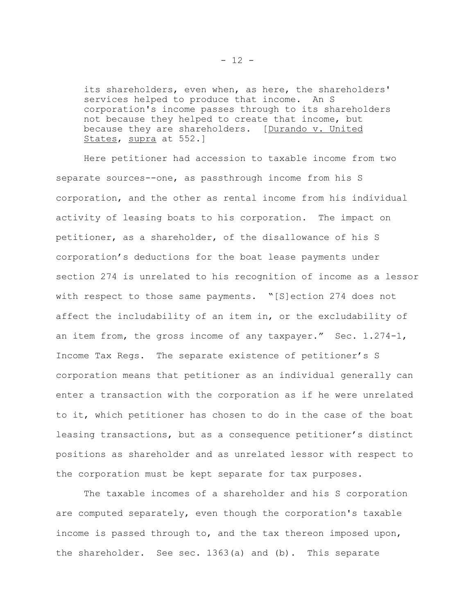its shareholders, even when, as here, the shareholders' services helped to produce that income. An S corporation's income passes through to its shareholders not because they helped to create that income, but because they are shareholders. [Durando v. United States, supra at 552.]

Here petitioner had accession to taxable income from two separate sources--one, as passthrough income from his S corporation, and the other as rental income from his individual activity of leasing boats to his corporation. The impact on petitioner, as a shareholder, of the disallowance of his S corporation's deductions for the boat lease payments under section 274 is unrelated to his recognition of income as a lessor with respect to those same payments. "[S]ection 274 does not affect the includability of an item in, or the excludability of an item from, the gross income of any taxpayer." Sec. 1.274-1, Income Tax Regs. The separate existence of petitioner's S corporation means that petitioner as an individual generally can enter a transaction with the corporation as if he were unrelated to it, which petitioner has chosen to do in the case of the boat leasing transactions, but as a consequence petitioner's distinct positions as shareholder and as unrelated lessor with respect to the corporation must be kept separate for tax purposes.

The taxable incomes of a shareholder and his S corporation are computed separately, even though the corporation's taxable income is passed through to, and the tax thereon imposed upon, the shareholder. See sec. 1363(a) and (b). This separate

 $- 12 -$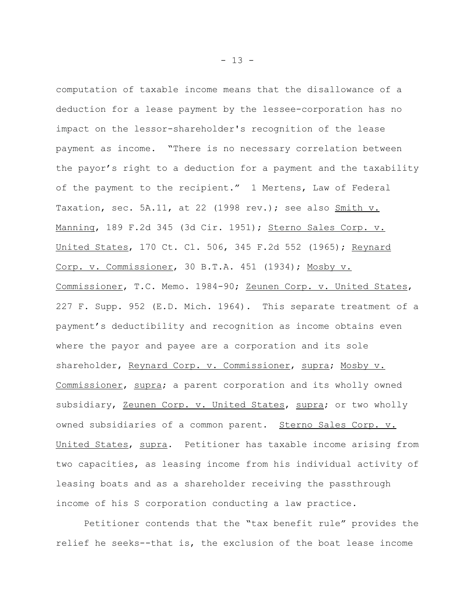computation of taxable income means that the disallowance of a deduction for a lease payment by the lessee-corporation has no impact on the lessor-shareholder's recognition of the lease payment as income. "There is no necessary correlation between the payor's right to a deduction for a payment and the taxability of the payment to the recipient." 1 Mertens, Law of Federal Taxation, sec. 5A.11, at 22 (1998 rev.); see also Smith v. Manning, 189 F.2d 345 (3d Cir. 1951); Sterno Sales Corp. v. United States, 170 Ct. Cl. 506, 345 F.2d 552 (1965); Reynard Corp. v. Commissioner, 30 B.T.A. 451 (1934); Mosby v. Commissioner, T.C. Memo. 1984-90; Zeunen Corp. v. United States, 227 F. Supp. 952 (E.D. Mich. 1964). This separate treatment of a payment's deductibility and recognition as income obtains even where the payor and payee are a corporation and its sole shareholder, Reynard Corp. v. Commissioner, supra; Mosby v. Commissioner, supra; a parent corporation and its wholly owned subsidiary, Zeunen Corp. v. United States, supra; or two wholly owned subsidiaries of a common parent. Sterno Sales Corp. v. United States, supra. Petitioner has taxable income arising from two capacities, as leasing income from his individual activity of leasing boats and as a shareholder receiving the passthrough income of his S corporation conducting a law practice.

Petitioner contends that the "tax benefit rule" provides the relief he seeks--that is, the exclusion of the boat lease income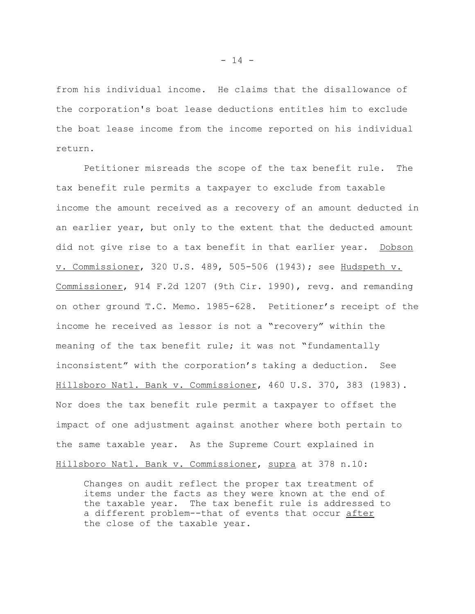from his individual income. He claims that the disallowance of the corporation's boat lease deductions entitles him to exclude the boat lease income from the income reported on his individual return.

Petitioner misreads the scope of the tax benefit rule. The tax benefit rule permits a taxpayer to exclude from taxable income the amount received as a recovery of an amount deducted in an earlier year, but only to the extent that the deducted amount did not give rise to a tax benefit in that earlier year. Dobson v. Commissioner, 320 U.S. 489, 505-506 (1943); see Hudspeth v. Commissioner, 914 F.2d 1207 (9th Cir. 1990), revg. and remanding on other ground T.C. Memo. 1985-628. Petitioner's receipt of the income he received as lessor is not a "recovery" within the meaning of the tax benefit rule; it was not "fundamentally inconsistent" with the corporation's taking a deduction. See Hillsboro Natl. Bank v. Commissioner, 460 U.S. 370, 383 (1983). Nor does the tax benefit rule permit a taxpayer to offset the impact of one adjustment against another where both pertain to the same taxable year. As the Supreme Court explained in Hillsboro Natl. Bank v. Commissioner, supra at 378 n.10:

Changes on audit reflect the proper tax treatment of items under the facts as they were known at the end of the taxable year. The tax benefit rule is addressed to a different problem--that of events that occur after the close of the taxable year.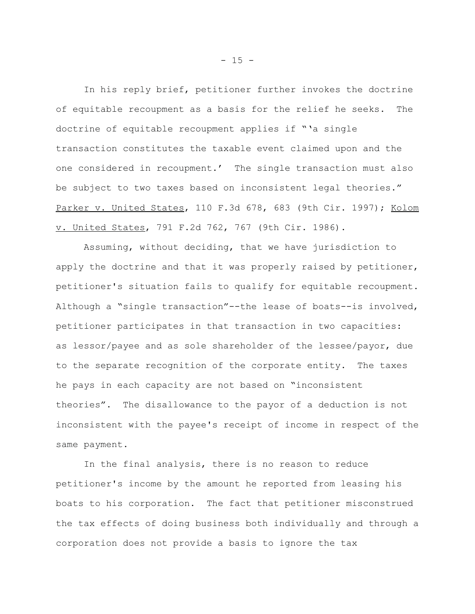In his reply brief, petitioner further invokes the doctrine of equitable recoupment as a basis for the relief he seeks. The doctrine of equitable recoupment applies if "'a single transaction constitutes the taxable event claimed upon and the one considered in recoupment.' The single transaction must also be subject to two taxes based on inconsistent legal theories." Parker v. United States, 110 F.3d 678, 683 (9th Cir. 1997); Kolom v. United States, 791 F.2d 762, 767 (9th Cir. 1986).

Assuming, without deciding, that we have jurisdiction to apply the doctrine and that it was properly raised by petitioner, petitioner's situation fails to qualify for equitable recoupment. Although a "single transaction"--the lease of boats--is involved, petitioner participates in that transaction in two capacities: as lessor/payee and as sole shareholder of the lessee/payor, due to the separate recognition of the corporate entity. The taxes he pays in each capacity are not based on "inconsistent theories". The disallowance to the payor of a deduction is not inconsistent with the payee's receipt of income in respect of the same payment.

In the final analysis, there is no reason to reduce petitioner's income by the amount he reported from leasing his boats to his corporation. The fact that petitioner misconstrued the tax effects of doing business both individually and through a corporation does not provide a basis to ignore the tax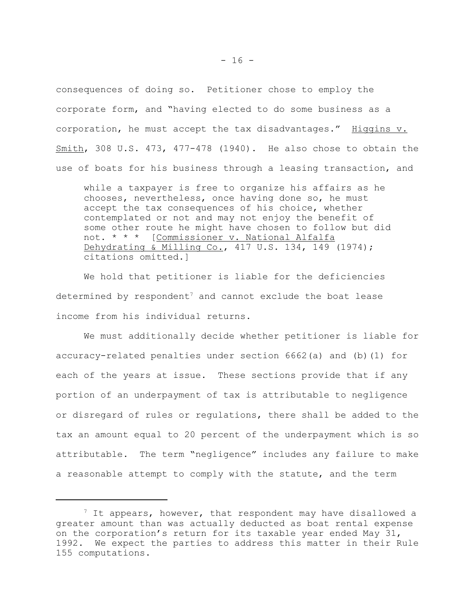consequences of doing so. Petitioner chose to employ the corporate form, and "having elected to do some business as a corporation, he must accept the tax disadvantages." Higgins v. Smith, 308 U.S. 473, 477-478 (1940). He also chose to obtain the use of boats for his business through a leasing transaction, and

while a taxpayer is free to organize his affairs as he chooses, nevertheless, once having done so, he must accept the tax consequences of his choice, whether contemplated or not and may not enjoy the benefit of some other route he might have chosen to follow but did not. \* \* \* [Commissioner v. National Alfalfa Dehydrating & Milling Co., 417 U.S. 134, 149 (1974); citations omitted.]

We hold that petitioner is liable for the deficiencies determined by respondent<sup>7</sup> and cannot exclude the boat lease income from his individual returns.

We must additionally decide whether petitioner is liable for accuracy-related penalties under section 6662(a) and (b)(1) for each of the years at issue. These sections provide that if any portion of an underpayment of tax is attributable to negligence or disregard of rules or regulations, there shall be added to the tax an amount equal to 20 percent of the underpayment which is so attributable. The term "negligence" includes any failure to make a reasonable attempt to comply with the statute, and the term

 $7$  It appears, however, that respondent may have disallowed a greater amount than was actually deducted as boat rental expense on the corporation's return for its taxable year ended May 31, 1992. We expect the parties to address this matter in their Rule 155 computations.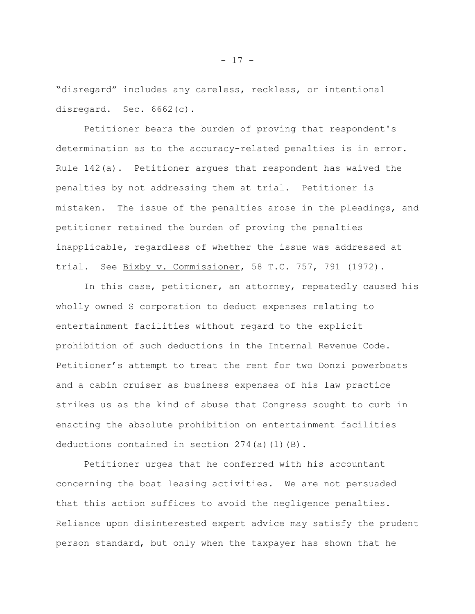"disregard" includes any careless, reckless, or intentional disregard. Sec. 6662(c).

Petitioner bears the burden of proving that respondent's determination as to the accuracy-related penalties is in error. Rule 142(a). Petitioner argues that respondent has waived the penalties by not addressing them at trial. Petitioner is mistaken. The issue of the penalties arose in the pleadings, and petitioner retained the burden of proving the penalties inapplicable, regardless of whether the issue was addressed at trial. See Bixby v. Commissioner, 58 T.C. 757, 791 (1972).

In this case, petitioner, an attorney, repeatedly caused his wholly owned S corporation to deduct expenses relating to entertainment facilities without regard to the explicit prohibition of such deductions in the Internal Revenue Code. Petitioner's attempt to treat the rent for two Donzi powerboats and a cabin cruiser as business expenses of his law practice strikes us as the kind of abuse that Congress sought to curb in enacting the absolute prohibition on entertainment facilities deductions contained in section 274(a)(1)(B).

Petitioner urges that he conferred with his accountant concerning the boat leasing activities. We are not persuaded that this action suffices to avoid the negligence penalties. Reliance upon disinterested expert advice may satisfy the prudent person standard, but only when the taxpayer has shown that he

- 17 -